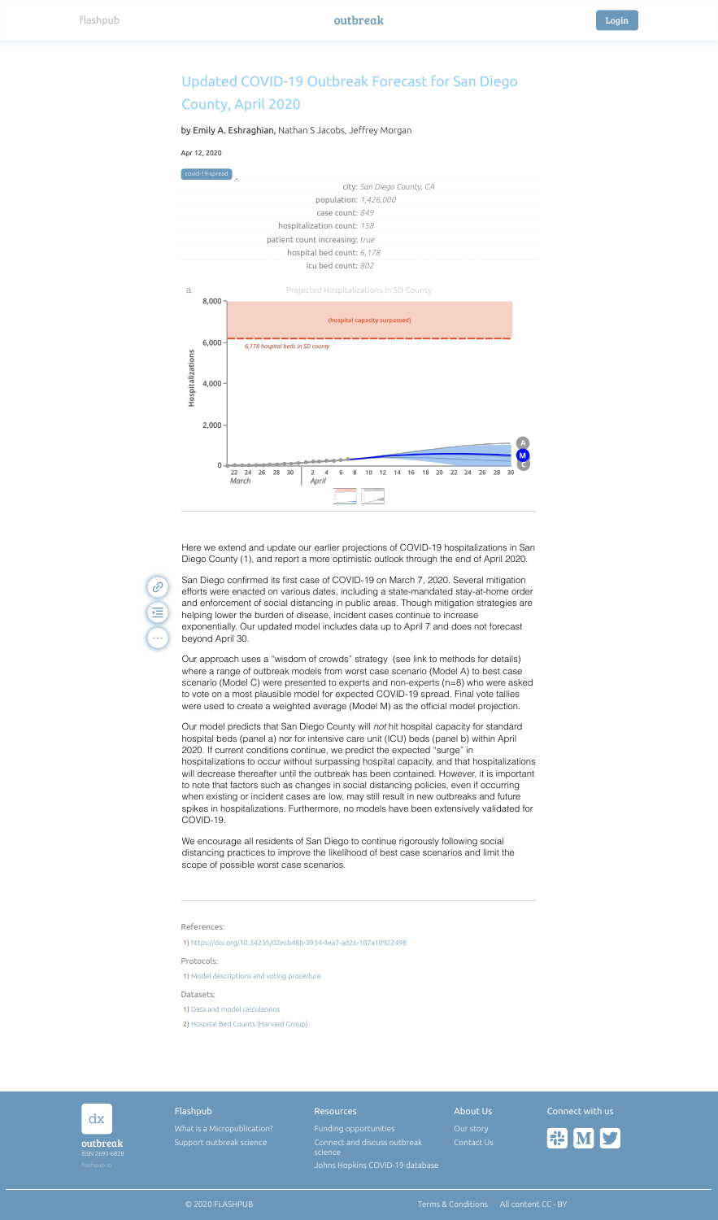| dx                            | Flashpub                                                | <b>Resources</b>                                      | About Us                | Connect with us |
|-------------------------------|---------------------------------------------------------|-------------------------------------------------------|-------------------------|-----------------|
| outbreak                      | What is a Micropublication?<br>Support outbreak science | Funding opportunities<br>Connect and discuss outbreak | Our story<br>Contact Us | <b>FIELD MY</b> |
| ISSN 2693-6828<br>flashpub.io |                                                         | science<br>Johns Hopkins COVID-19 database            |                         |                 |

## Apr 12, 2020

References:

Protocols:

Datasets:

## Updated COVID-19 Outbreak Forecast for San Diego County, April 2020

by Emily A. Eshraghian, Nathan S Jacobs, Jeffrey Morgan





1) <https://doi.org/10.34235/02ecb48b-3934-4ea7-ad26-107a10922498>

1) [Model descriptions and voting procedure](https://drive.google.com/file/d/1LCdlcvPgtEUzSgyEp6Kz1qfHHDL7X02a/view?usp=sharing)

1) [Data and model calculations](https://docs.google.com/spreadsheets/d/1uZoxPVeKWUO8St7qHPW9p2Jg0Rjl1FVsqGz6ZQHZ3yg/edit?usp=sharing)

2) [Hospital Bed Counts \(Harvard Group\)](https://docs.google.com/spreadsheets/d/1xAyBFTrlxSsTKQS7IDyr_Ah4JLBYj6_HX6ijKdm4fAY/edit#gid=0)

Here we extend and update our earlier projections of COVID-19 hospitalizations in San Diego County (1), and report a more optimistic outlook through the end of April 2020.

 $\mathscr{C}$ 运  $\ddot{\bullet}$ 

San Diego confirmed its first case of COVID-19 on March 7, 2020. Several mitigation efforts were enacted on various dates, including a state-mandated stay-at-home order and enforcement of social distancing in public areas. Though mitigation strategies are helping lower the burden of disease, incident cases continue to increase exponentially. Our updated model includes data up to April 7 and does not forecast beyond April 30.

Our approach uses a "wisdom of crowds" strategy (see link to methods for details) where a range of outbreak models from worst case scenario (Model A) to best case scenario (Model C) were presented to experts and non-experts (n=8) who were asked to vote on a most plausible model for expected COVID-19 spread. Final vote tallies were used to create a weighted average (Model M) as the official model projection.

Our model predicts that San Diego County will *not* hit hospital capacity for standard hospital beds (panel a) nor for intensive care unit (ICU) beds (panel b) within April 2020. If current conditions continue, we predict the expected "surge" in hospitalizations to occur without surpassing hospital capacity, and that hospitalizations will decrease thereafter until the outbreak has been contained. However, it is important to note that factors such as changes in social distancing policies, even if occurring when existing or incident cases are low, may still result in new outbreaks and future spikes in hospitalizations. Furthermore, no models have been extensively validated for COVID-19.

We encourage all residents of San Diego to continue rigorously following social distancing practices to improve the likelihood of best case scenarios and limit the scope of possible worst case scenarios.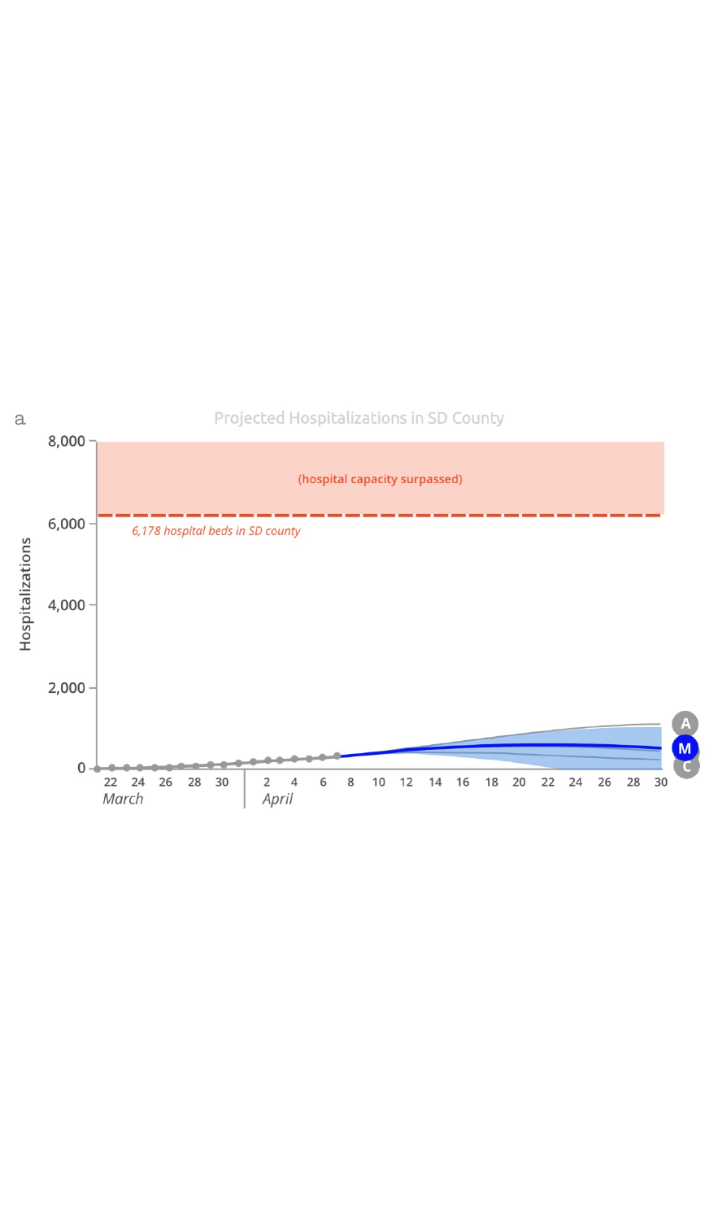## Projected Hospitalizations in SD County